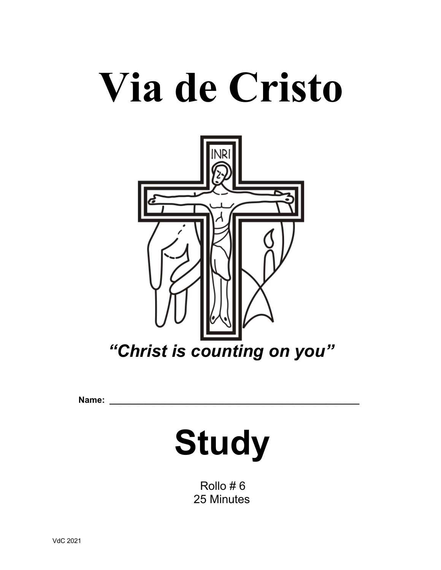# **Via de Cristo**



 $Name:$ 

## **Study**

 Rollo # 6 25 Minutes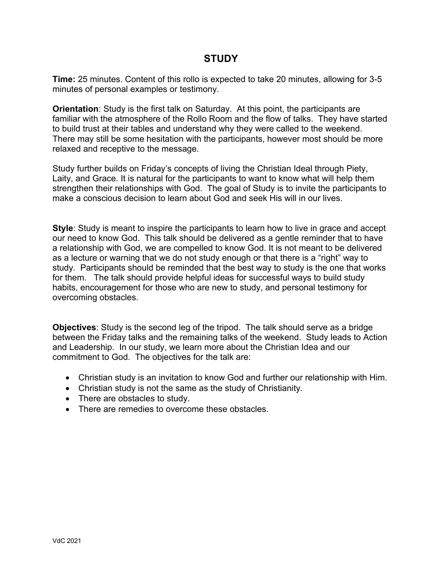### **STUDY**

**Time:** 25 minutes. Content of this rollo is expected to take 20 minutes, allowing for 3-5 minutes of personal examples or testimony.

**Orientation**: Study is the first talk on Saturday. At this point, the participants are familiar with the atmosphere of the Rollo Room and the flow of talks. They have started to build trust at their tables and understand why they were called to the weekend. There may still be some hesitation with the participants, however most should be more relaxed and receptive to the message.

Study further builds on Friday's concepts of living the Christian Ideal through Piety, Laity, and Grace. It is natural for the participants to want to know what will help them strengthen their relationships with God. The goal of Study is to invite the participants to make a conscious decision to learn about God and seek His will in our lives.

**Style**: Study is meant to inspire the participants to learn how to live in grace and accept our need to know God. This talk should be delivered as a gentle reminder that to have a relationship with God, we are compelled to know God. It is not meant to be delivered as a lecture or warning that we do not study enough or that there is a "right" way to study. Participants should be reminded that the best way to study is the one that works for them. The talk should provide helpful ideas for successful ways to build study habits, encouragement for those who are new to study, and personal testimony for overcoming obstacles.

**Objectives**: Study is the second leg of the tripod. The talk should serve as a bridge between the Friday talks and the remaining talks of the weekend. Study leads to Action and Leadership. In our study, we learn more about the Christian Idea and our commitment to God. The objectives for the talk are:

- Christian study is an invitation to know God and further our relationship with Him.
- Christian study is not the same as the study of Christianity.
- There are obstacles to study.
- There are remedies to overcome these obstacles.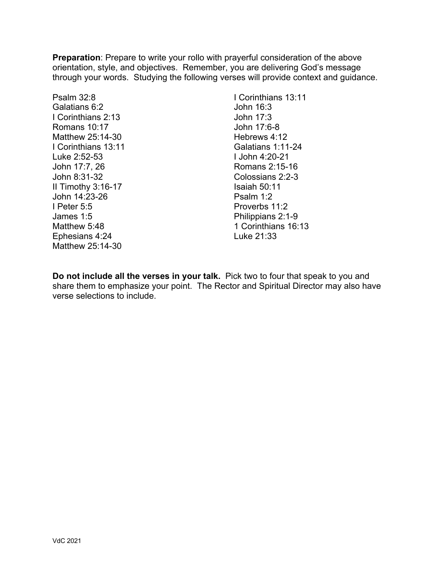**Preparation**: Prepare to write your rollo with prayerful consideration of the above orientation, style, and objectives. Remember, you are delivering God's message through your words. Studying the following verses will provide context and guidance.

Psalm 32:8 Galatians 6:2 I Corinthians 2:13 Romans 10:17 Matthew 25:14-30 I Corinthians 13:11 Luke 2:52-53 John 17:7, 26 John 8:31-32 II Timothy 3:16-17 John 14:23-26 I Peter 5:5 James 1:5 Matthew 5:48 Ephesians 4:24 Matthew 25:14-30

I Corinthians 13:11 John 16:3 John 17:3 John 17:6-8 Hebrews 4:12 Galatians 1:11-24 I John 4:20-21 Romans 2:15-16 Colossians 2:2-3 Isaiah 50:11 Psalm 1:2 Proverbs 11:2 Philippians 2:1-9 1 Corinthians 16:13 Luke 21:33

**Do not include all the verses in your talk.** Pick two to four that speak to you and share them to emphasize your point. The Rector and Spiritual Director may also have verse selections to include.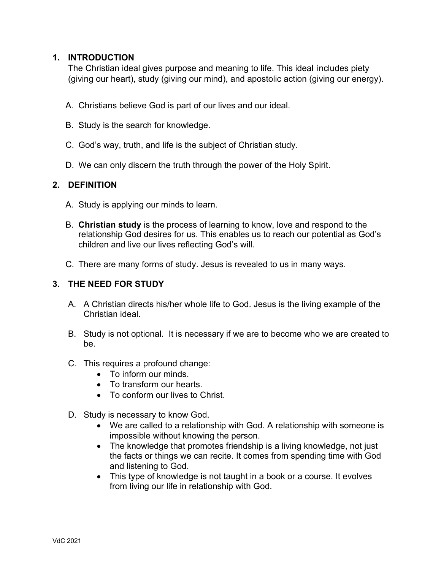#### **1. INTRODUCTION**

The Christian ideal gives purpose and meaning to life. This ideal includes piety (giving our heart), study (giving our mind), and apostolic action (giving our energy).

- A. Christians believe God is part of our lives and our ideal.
- B. Study is the search for knowledge.
- C. God's way, truth, and life is the subject of Christian study.
- D. We can only discern the truth through the power of the Holy Spirit.

#### **2. DEFINITION**

- A. Study is applying our minds to learn.
- B. **Christian study** is the process of learning to know, love and respond to the relationship God desires for us. This enables us to reach our potential as God's children and live our lives reflecting God's will.
- C. There are many forms of study. Jesus is revealed to us in many ways.

#### **3. THE NEED FOR STUDY**

- A. A Christian directs his/her whole life to God. Jesus is the living example of the Christian ideal.
- B. Study is not optional. It is necessary if we are to become who we are created to be.
- C. This requires a profound change:
	- To inform our minds.
	- To transform our hearts.
	- To conform our lives to Christ.
- D. Study is necessary to know God.
	- We are called to a relationship with God. A relationship with someone is impossible without knowing the person.
	- The knowledge that promotes friendship is a living knowledge, not just the facts or things we can recite. It comes from spending time with God and listening to God.
	- This type of knowledge is not taught in a book or a course. It evolves from living our life in relationship with God.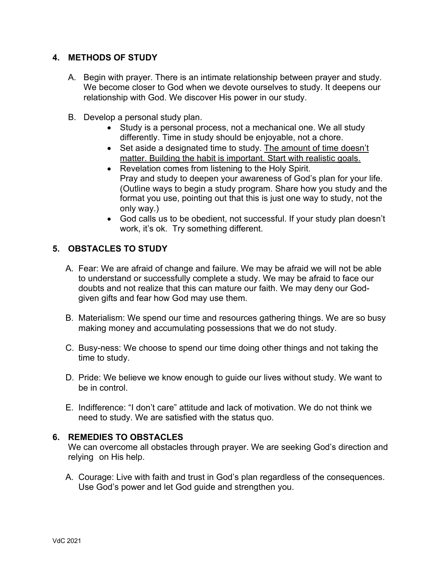#### **4. METHODS OF STUDY**

- A. Begin with prayer. There is an intimate relationship between prayer and study. We become closer to God when we devote ourselves to study. It deepens our relationship with God. We discover His power in our study.
- B. Develop a personal study plan.
	- Study is a personal process, not a mechanical one. We all study differently. Time in study should be enjoyable, not a chore.
	- Set aside a designated time to study. The amount of time doesn't matter. Building the habit is important. Start with realistic goals.
	- Revelation comes from listening to the Holy Spirit. Pray and study to deepen your awareness of God's plan for your life. (Outline ways to begin a study program. Share how you study and the format you use, pointing out that this is just one way to study, not the only way.)
	- God calls us to be obedient, not successful. If your study plan doesn't work, it's ok. Try something different.

#### **5. OBSTACLES TO STUDY**

- A. Fear: We are afraid of change and failure. We may be afraid we will not be able to understand or successfully complete a study. We may be afraid to face our doubts and not realize that this can mature our faith. We may deny our Godgiven gifts and fear how God may use them.
- B. Materialism: We spend our time and resources gathering things. We are so busy making money and accumulating possessions that we do not study.
- C. Busy-ness: We choose to spend our time doing other things and not taking the time to study.
- D. Pride: We believe we know enough to guide our lives without study. We want to be in control.
- E. Indifference: "I don't care" attitude and lack of motivation. We do not think we need to study. We are satisfied with the status quo.

#### **6. REMEDIES TO OBSTACLES**

We can overcome all obstacles through prayer. We are seeking God's direction and relying on His help.

A. Courage: Live with faith and trust in God's plan regardless of the consequences. Use God's power and let God guide and strengthen you.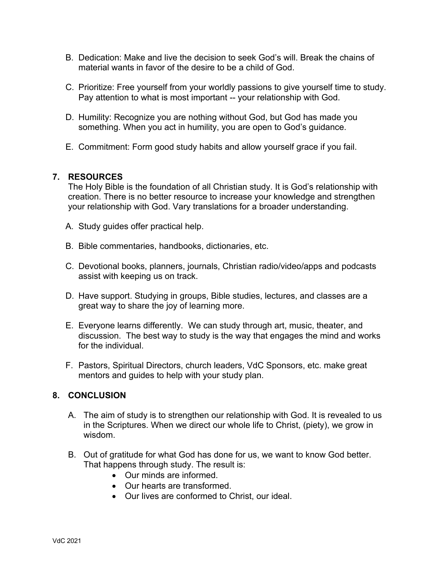- B. Dedication: Make and live the decision to seek God's will. Break the chains of material wants in favor of the desire to be a child of God.
- C. Prioritize: Free yourself from your worldly passions to give yourself time to study. Pay attention to what is most important -- your relationship with God.
- D. Humility: Recognize you are nothing without God, but God has made you something. When you act in humility, you are open to God's guidance.
- E. Commitment: Form good study habits and allow yourself grace if you fail.

#### **7. RESOURCES**

The Holy Bible is the foundation of all Christian study. It is God's relationship with creation. There is no better resource to increase your knowledge and strengthen your relationship with God. Vary translations for a broader understanding.

- A. Study guides offer practical help.
- B. Bible commentaries, handbooks, dictionaries, etc.
- C. Devotional books, planners, journals, Christian radio/video/apps and podcasts assist with keeping us on track.
- D. Have support. Studying in groups, Bible studies, lectures, and classes are a great way to share the joy of learning more.
- E. Everyone learns differently. We can study through art, music, theater, and discussion. The best way to study is the way that engages the mind and works for the individual.
- F. Pastors, Spiritual Directors, church leaders, VdC Sponsors, etc. make great mentors and guides to help with your study plan.

#### **8. CONCLUSION**

- A. The aim of study is to strengthen our relationship with God. It is revealed to us in the Scriptures. When we direct our whole life to Christ, (piety), we grow in wisdom.
- B. Out of gratitude for what God has done for us, we want to know God better. That happens through study. The result is:
	- Our minds are informed.
	- Our hearts are transformed.
	- Our lives are conformed to Christ, our ideal.